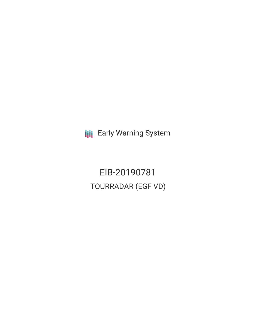**III** Early Warning System

EIB-20190781 TOURRADAR (EGF VD)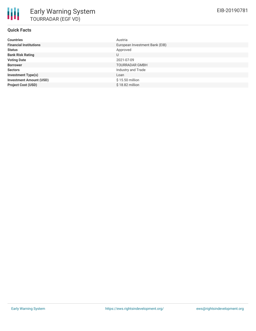| <b>Countries</b>               | Austria                        |
|--------------------------------|--------------------------------|
| <b>Financial Institutions</b>  | European Investment Bank (EIB) |
| <b>Status</b>                  | Approved                       |
| <b>Bank Risk Rating</b>        | U                              |
| <b>Voting Date</b>             | 2021-07-09                     |
| <b>Borrower</b>                | <b>TOURRADAR GMBH</b>          |
| <b>Sectors</b>                 | Industry and Trade             |
| <b>Investment Type(s)</b>      | Loan                           |
| <b>Investment Amount (USD)</b> | \$15.50 million                |
| <b>Project Cost (USD)</b>      | $$18.82$ million               |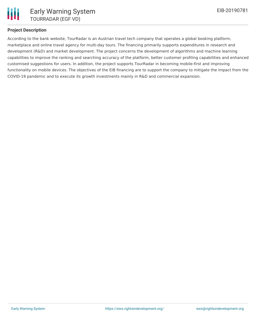

## **Project Description**

According to the bank website, TourRadar is an Austrian travel tech company that operates a global booking platform, marketplace and online travel agency for multi-day tours. The financing primarily supports expenditures in research and development (R&D) and market development. The project concerns the development of algorithms and machine learning capabilities to improve the ranking and searching accuracy of the platform, better customer profiling capabilities and enhanced customised suggestions for users. In addition, the project supports TourRadar in becoming mobile-first and improving functionality on mobile devices. The objectives of the EIB financing are to support the company to mitigate the impact from the COVID-19 pandemic and to execute its growth investments mainly in R&D and commercial expansion.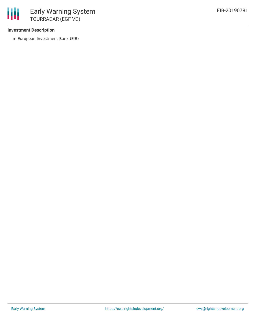## **Investment Description**

European Investment Bank (EIB)